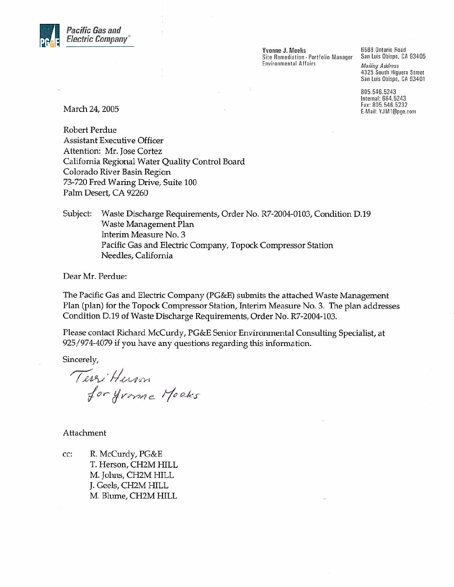

Yvonne J. Meeks Site Remediation - Portfolio Manager **Environmental Affairs** 

6588 Ontario Road San Luis Obispo, CA 93405 **Mailing Address** 4325 South Higuera Street San Luis Obispo, CA 93401

805.546.5243 Internal: 664.5243 Fax: 805.546.5232 E-Mail: YJM1@pge.com

March 24, 2005

Robert Perdue **Assistant Executive Officer** Attention: Mr. Jose Cortez California Regional Water Quality Control Board Colorado River Basin Region 73-720 Fred Waring Drive, Suite 100 Palm Desert, CA 92260

Subject: Waste Discharge Requirements, Order No. R7-2004-0103, Condition D.19 Waste Management Plan Interim Measure No. 3 Pacific Gas and Electric Company, Topock Compressor Station Needles, California

Dear Mr. Perdue:

The Pacific Gas and Electric Company (PG&E) submits the attached Waste Management Plan (plan) for the Topock Compressor Station, Interim Measure No. 3. The plan addresses Condition D.19 of Waste Discharge Requirements, Order No. R7-2004-103.

Please contact Richard McCurdy, PG&E Senior Environmental Consulting Specialist, at 925/974-4079 if you have any questions regarding this information.

Sincerely,

Terri Herson<br>for Jurne Moeks

Attachment

CC: R. McCurdy, PG&E T. Herson, CH2M HILL M. Johns, CH2M HILL J. Geels, CH2M HILL M. Blume, CH2M HILL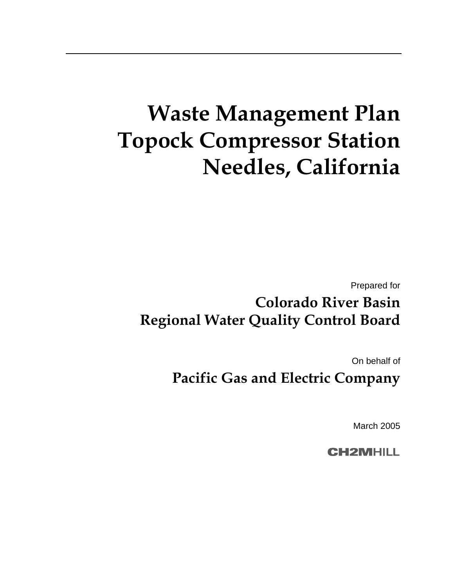# **Waste Management Plan Topock Compressor Station Needles, California**

Prepared for

## **Colorado River Basin Regional Water Quality Control Board**

On behalf of

**Pacific Gas and Electric Company** 

March 2005

**CH2MHILL**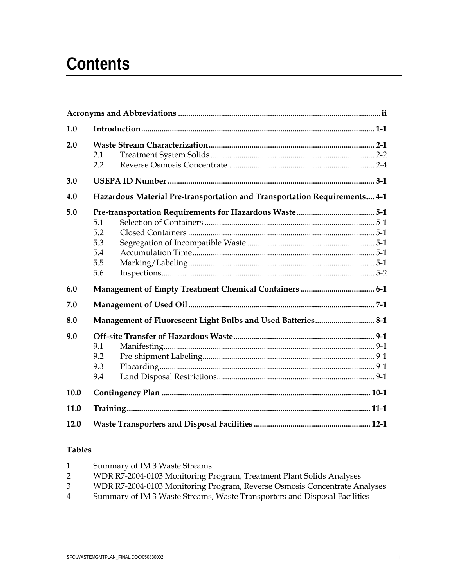## **Contents**

| 1.0  |                                                                           |  |  |  |
|------|---------------------------------------------------------------------------|--|--|--|
| 2.0  |                                                                           |  |  |  |
|      | 2.1                                                                       |  |  |  |
|      | 2.2                                                                       |  |  |  |
| 3.0  |                                                                           |  |  |  |
| 4.0  | Hazardous Material Pre-transportation and Transportation Requirements 4-1 |  |  |  |
| 5.0  |                                                                           |  |  |  |
|      | 5.1                                                                       |  |  |  |
|      | 5.2                                                                       |  |  |  |
|      | 5.3                                                                       |  |  |  |
|      | 5.4                                                                       |  |  |  |
|      | 5.5                                                                       |  |  |  |
|      | 5.6                                                                       |  |  |  |
| 6.0  |                                                                           |  |  |  |
| 7.0  |                                                                           |  |  |  |
| 8.0  | Management of Fluorescent Light Bulbs and Used Batteries 8-1              |  |  |  |
| 9.0  |                                                                           |  |  |  |
|      | 9.1                                                                       |  |  |  |
|      | 9.2                                                                       |  |  |  |
|      | 9.3                                                                       |  |  |  |
|      | 9.4                                                                       |  |  |  |
| 10.0 |                                                                           |  |  |  |
| 11.0 |                                                                           |  |  |  |
| 12.0 |                                                                           |  |  |  |

#### **Tables**

| $\mathbf{1}$ | Summary of IM 3 Waste Streams                                             |
|--------------|---------------------------------------------------------------------------|
| 2            | WDR R7-2004-0103 Monitoring Program, Treatment Plant Solids Analyses      |
| 3            | WDR R7-2004-0103 Monitoring Program, Reverse Osmosis Concentrate Analyses |
| 4            | Summary of IM 3 Waste Streams, Waste Transporters and Disposal Facilities |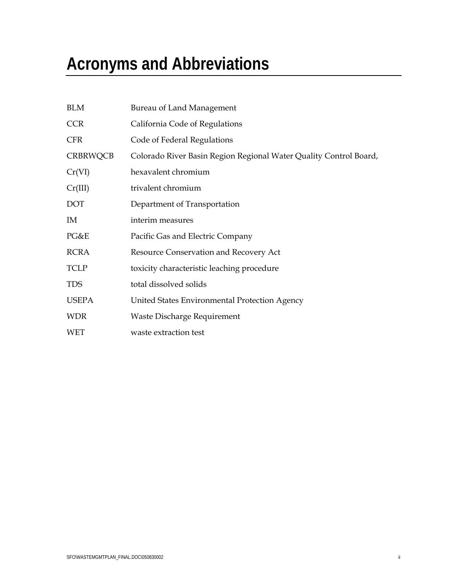# **Acronyms and Abbreviations**

| <b>BLM</b>      | Bureau of Land Management                                         |
|-----------------|-------------------------------------------------------------------|
| <b>CCR</b>      | California Code of Regulations                                    |
| <b>CFR</b>      | Code of Federal Regulations                                       |
| <b>CRBRWQCB</b> | Colorado River Basin Region Regional Water Quality Control Board, |
| Cr(VI)          | hexavalent chromium                                               |
| Cr(III)         | trivalent chromium                                                |
| <b>DOT</b>      | Department of Transportation                                      |
| IM              | interim measures                                                  |
| PG&E            | Pacific Gas and Electric Company                                  |
| <b>RCRA</b>     | Resource Conservation and Recovery Act                            |
| <b>TCLP</b>     | toxicity characteristic leaching procedure                        |
| <b>TDS</b>      | total dissolved solids                                            |
| <b>USEPA</b>    | United States Environmental Protection Agency                     |
| <b>WDR</b>      | Waste Discharge Requirement                                       |
| <b>WET</b>      | waste extraction test                                             |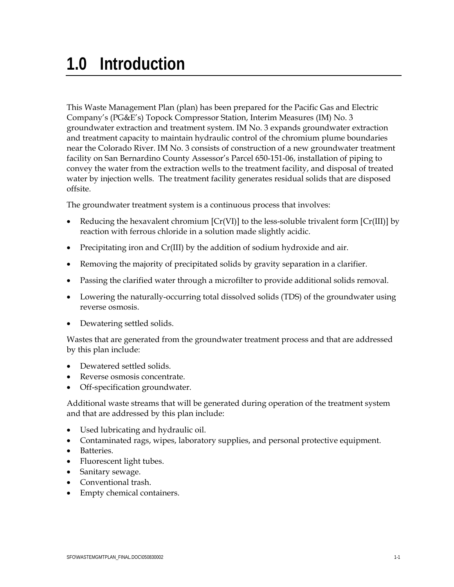This Waste Management Plan (plan) has been prepared for the Pacific Gas and Electric Company's (PG&E's) Topock Compressor Station, Interim Measures (IM) No. 3 groundwater extraction and treatment system. IM No. 3 expands groundwater extraction and treatment capacity to maintain hydraulic control of the chromium plume boundaries near the Colorado River. IM No. 3 consists of construction of a new groundwater treatment facility on San Bernardino County Assessor's Parcel 650-151-06, installation of piping to convey the water from the extraction wells to the treatment facility, and disposal of treated water by injection wells. The treatment facility generates residual solids that are disposed offsite.

The groundwater treatment system is a continuous process that involves:

- Reducing the hexavalent chromium  $[Cr(VI)]$  to the less-soluble trivalent form  $[Cr(III)]$  by reaction with ferrous chloride in a solution made slightly acidic.
- Precipitating iron and Cr(III) by the addition of sodium hydroxide and air.
- Removing the majority of precipitated solids by gravity separation in a clarifier.
- Passing the clarified water through a microfilter to provide additional solids removal.
- Lowering the naturally-occurring total dissolved solids (TDS) of the groundwater using reverse osmosis.
- Dewatering settled solids.

Wastes that are generated from the groundwater treatment process and that are addressed by this plan include:

- Dewatered settled solids.
- Reverse osmosis concentrate.
- Off-specification groundwater.

Additional waste streams that will be generated during operation of the treatment system and that are addressed by this plan include:

- Used lubricating and hydraulic oil.
- Contaminated rags, wipes, laboratory supplies, and personal protective equipment.
- Batteries.
- Fluorescent light tubes.
- Sanitary sewage.
- Conventional trash.
- Empty chemical containers.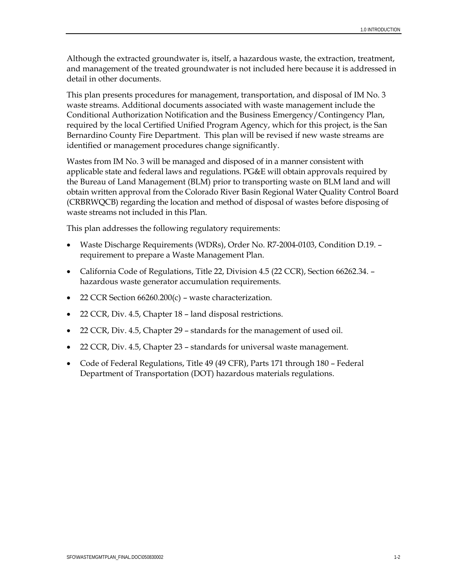Although the extracted groundwater is, itself, a hazardous waste, the extraction, treatment, and management of the treated groundwater is not included here because it is addressed in detail in other documents.

This plan presents procedures for management, transportation, and disposal of IM No. 3 waste streams. Additional documents associated with waste management include the Conditional Authorization Notification and the Business Emergency/Contingency Plan, required by the local Certified Unified Program Agency, which for this project, is the San Bernardino County Fire Department. This plan will be revised if new waste streams are identified or management procedures change significantly.

Wastes from IM No. 3 will be managed and disposed of in a manner consistent with applicable state and federal laws and regulations. PG&E will obtain approvals required by the Bureau of Land Management (BLM) prior to transporting waste on BLM land and will obtain written approval from the Colorado River Basin Regional Water Quality Control Board (CRBRWQCB) regarding the location and method of disposal of wastes before disposing of waste streams not included in this Plan.

This plan addresses the following regulatory requirements:

- Waste Discharge Requirements (WDRs), Order No. R7-2004-0103, Condition D.19. requirement to prepare a Waste Management Plan.
- California Code of Regulations, Title 22, Division 4.5 (22 CCR), Section 66262.34. hazardous waste generator accumulation requirements.
- 22 CCR Section 66260.200(c) waste characterization.
- 22 CCR, Div. 4.5, Chapter 18 land disposal restrictions.
- 22 CCR, Div. 4.5, Chapter 29 standards for the management of used oil.
- 22 CCR, Div. 4.5, Chapter 23 standards for universal waste management.
- Code of Federal Regulations, Title 49 (49 CFR), Parts 171 through 180 Federal Department of Transportation (DOT) hazardous materials regulations.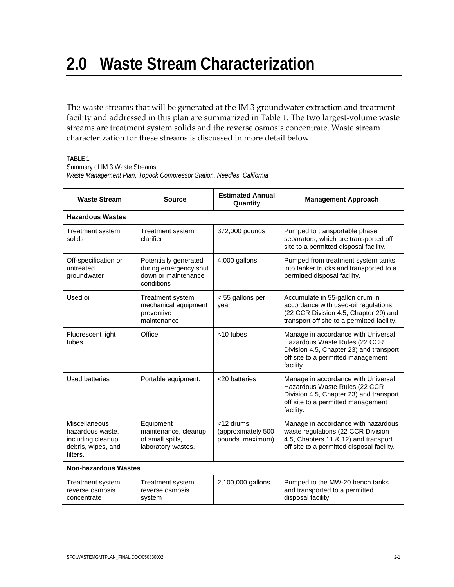The waste streams that will be generated at the IM 3 groundwater extraction and treatment facility and addressed in this plan are summarized in Table 1. The two largest-volume waste streams are treatment system solids and the reverse osmosis concentrate. Waste stream characterization for these streams is discussed in more detail below.

#### **TABLE 1**

Summary of IM 3 Waste Streams

*Waste Management Plan, Topock Compressor Station, Needles, California* 

| <b>Waste Stream</b>                                                                             | <b>Source</b>                                                                       | <b>Estimated Annual</b><br>Quantity                | <b>Management Approach</b>                                                                                                                                         |  |  |  |
|-------------------------------------------------------------------------------------------------|-------------------------------------------------------------------------------------|----------------------------------------------------|--------------------------------------------------------------------------------------------------------------------------------------------------------------------|--|--|--|
| <b>Hazardous Wastes</b>                                                                         |                                                                                     |                                                    |                                                                                                                                                                    |  |  |  |
| <b>Treatment system</b><br>solids                                                               | Treatment system<br>clarifier                                                       | 372,000 pounds                                     | Pumped to transportable phase<br>separators, which are transported off<br>site to a permitted disposal facility.                                                   |  |  |  |
| Off-specification or<br>untreated<br>groundwater                                                | Potentially generated<br>during emergency shut<br>down or maintenance<br>conditions | 4,000 gallons                                      | Pumped from treatment system tanks<br>into tanker trucks and transported to a<br>permitted disposal facility.                                                      |  |  |  |
| Used oil                                                                                        | Treatment system<br>mechanical equipment<br>preventive<br>maintenance               | < 55 gallons per<br>year                           | Accumulate in 55-gallon drum in<br>accordance with used-oil regulations<br>(22 CCR Division 4.5, Chapter 29) and<br>transport off site to a permitted facility.    |  |  |  |
| Fluorescent light<br>tubes                                                                      | Office                                                                              | $<$ 10 tubes                                       | Manage in accordance with Universal<br>Hazardous Waste Rules (22 CCR<br>Division 4.5, Chapter 23) and transport<br>off site to a permitted management<br>facility. |  |  |  |
| Used batteries                                                                                  | Portable equipment.                                                                 | <20 batteries                                      | Manage in accordance with Universal<br>Hazardous Waste Rules (22 CCR<br>Division 4.5, Chapter 23) and transport<br>off site to a permitted management<br>facility. |  |  |  |
| <b>Miscellaneous</b><br>hazardous waste,<br>including cleanup<br>debris, wipes, and<br>filters. | Equipment<br>maintenance, cleanup<br>of small spills,<br>laboratory wastes.         | <12 drums<br>(approximately 500<br>pounds maximum) | Manage in accordance with hazardous<br>waste regulations (22 CCR Division<br>4.5, Chapters 11 & 12) and transport<br>off site to a permitted disposal facility.    |  |  |  |
| <b>Non-hazardous Wastes</b>                                                                     |                                                                                     |                                                    |                                                                                                                                                                    |  |  |  |
| <b>Treatment system</b><br>reverse osmosis                                                      | <b>Treatment system</b><br>reverse osmosis                                          | 2,100,000 gallons                                  | Pumped to the MW-20 bench tanks<br>and transported to a permitted                                                                                                  |  |  |  |

system

concentrate

disposal facility.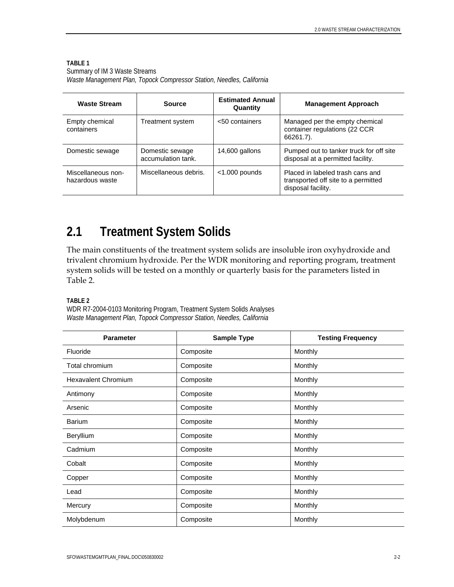#### **TABLE 1**

| Summary of IM 3 Waste Streams                                         |  |  |
|-----------------------------------------------------------------------|--|--|
| Waste Management Plan, Topock Compressor Station, Needles, California |  |  |

| <b>Waste Stream</b>                   | Source                                | <b>Estimated Annual</b><br>Quantity | <b>Management Approach</b>                                                                    |
|---------------------------------------|---------------------------------------|-------------------------------------|-----------------------------------------------------------------------------------------------|
| Empty chemical<br>containers          | Treatment system                      | <50 containers                      | Managed per the empty chemical<br>container regulations (22 CCR<br>66261.7).                  |
| Domestic sewage                       | Domestic sewage<br>accumulation tank. | 14,600 gallons                      | Pumped out to tanker truck for off site<br>disposal at a permitted facility.                  |
| Miscellaneous non-<br>hazardous waste | Miscellaneous debris.                 | $<$ 1.000 pounds                    | Placed in labeled trash cans and<br>transported off site to a permitted<br>disposal facility. |

#### **2.1 Treatment System Solids**

The main constituents of the treatment system solids are insoluble iron oxyhydroxide and trivalent chromium hydroxide. Per the WDR monitoring and reporting program, treatment system solids will be tested on a monthly or quarterly basis for the parameters listed in Table 2.

**TABLE 2** 

WDR R7-2004-0103 Monitoring Program, Treatment System Solids Analyses *Waste Management Plan, Topock Compressor Station, Needles, California* 

| <b>Parameter</b>           | <b>Sample Type</b> | <b>Testing Frequency</b> |
|----------------------------|--------------------|--------------------------|
| Fluoride                   | Composite          | Monthly                  |
| Total chromium             | Composite          | Monthly                  |
| <b>Hexavalent Chromium</b> | Composite          | Monthly                  |
| Antimony                   | Composite          | Monthly                  |
| Arsenic                    | Composite          | Monthly                  |
| <b>Barium</b>              | Composite          | Monthly                  |
| Beryllium                  | Composite          | Monthly                  |
| Cadmium                    | Composite          | Monthly                  |
| Cobalt                     | Composite          | Monthly                  |
| Copper                     | Composite          | Monthly                  |
| Lead                       | Composite          | Monthly                  |
| Mercury                    | Composite          | Monthly                  |
| Molybdenum                 | Composite          | Monthly                  |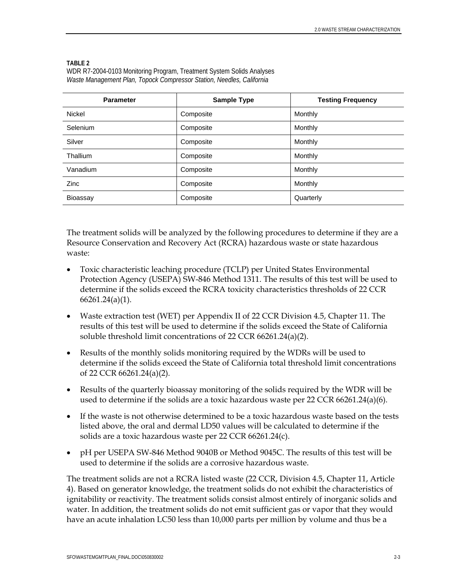#### **TABLE 2**

WDR R7-2004-0103 Monitoring Program, Treatment System Solids Analyses *Waste Management Plan, Topock Compressor Station, Needles, California* 

| <b>Parameter</b> | <b>Sample Type</b> | <b>Testing Frequency</b> |
|------------------|--------------------|--------------------------|
| <b>Nickel</b>    | Composite          | Monthly                  |
| Selenium         | Composite          | Monthly                  |
| Silver           | Composite          | Monthly                  |
| Thallium         | Composite          | Monthly                  |
| Vanadium         | Composite          | Monthly                  |
| Zinc             | Composite          | Monthly                  |
| Bioassay         | Composite          | Quarterly                |

The treatment solids will be analyzed by the following procedures to determine if they are a Resource Conservation and Recovery Act (RCRA) hazardous waste or state hazardous waste:

- Toxic characteristic leaching procedure (TCLP) per United States Environmental Protection Agency (USEPA) SW-846 Method 1311. The results of this test will be used to determine if the solids exceed the RCRA toxicity characteristics thresholds of 22 CCR 66261.24(a)(1).
- Waste extraction test (WET) per Appendix II of 22 CCR Division 4.5, Chapter 11. The results of this test will be used to determine if the solids exceed the State of California soluble threshold limit concentrations of 22 CCR 66261.24(a)(2).
- Results of the monthly solids monitoring required by the WDRs will be used to determine if the solids exceed the State of California total threshold limit concentrations of 22 CCR 66261.24(a)(2).
- Results of the quarterly bioassay monitoring of the solids required by the WDR will be used to determine if the solids are a toxic hazardous waste per  $22$  CCR 66261.24(a)(6).
- If the waste is not otherwise determined to be a toxic hazardous waste based on the tests listed above, the oral and dermal LD50 values will be calculated to determine if the solids are a toxic hazardous waste per 22 CCR 66261.24(c).
- pH per USEPA SW-846 Method 9040B or Method 9045C. The results of this test will be used to determine if the solids are a corrosive hazardous waste.

The treatment solids are not a RCRA listed waste (22 CCR, Division 4.5, Chapter 11, Article 4). Based on generator knowledge, the treatment solids do not exhibit the characteristics of ignitability or reactivity. The treatment solids consist almost entirely of inorganic solids and water. In addition, the treatment solids do not emit sufficient gas or vapor that they would have an acute inhalation LC50 less than 10,000 parts per million by volume and thus be a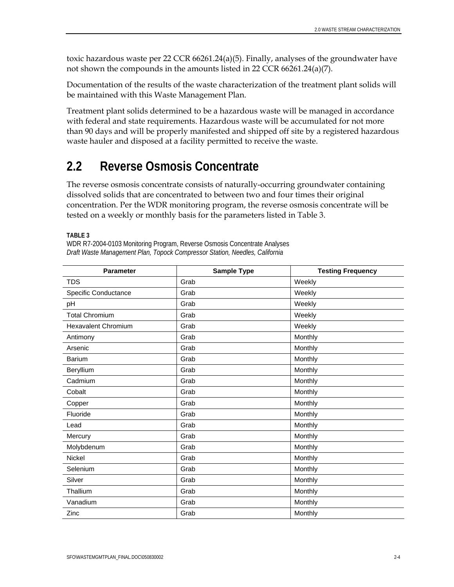toxic hazardous waste per 22 CCR 66261.24(a)(5). Finally, analyses of the groundwater have not shown the compounds in the amounts listed in 22 CCR 66261.24(a)(7).

Documentation of the results of the waste characterization of the treatment plant solids will be maintained with this Waste Management Plan.

Treatment plant solids determined to be a hazardous waste will be managed in accordance with federal and state requirements. Hazardous waste will be accumulated for not more than 90 days and will be properly manifested and shipped off site by a registered hazardous waste hauler and disposed at a facility permitted to receive the waste.

#### **2.2 Reverse Osmosis Concentrate**

The reverse osmosis concentrate consists of naturally-occurring groundwater containing dissolved solids that are concentrated to between two and four times their original concentration. Per the WDR monitoring program, the reverse osmosis concentrate will be tested on a weekly or monthly basis for the parameters listed in Table 3.

**TABLE 3** 

WDR R7-2004-0103 Monitoring Program, Reverse Osmosis Concentrate Analyses *Draft Waste Management Plan, Topock Compressor Station, Needles, California* 

| <b>Parameter</b>           | <b>Sample Type</b> | <b>Testing Frequency</b> |
|----------------------------|--------------------|--------------------------|
| <b>TDS</b>                 | Grab               | Weekly                   |
| Specific Conductance       | Grab               | Weekly                   |
| pH                         | Grab               | Weekly                   |
| <b>Total Chromium</b>      | Grab               | Weekly                   |
| <b>Hexavalent Chromium</b> | Grab               | Weekly                   |
| Antimony                   | Grab               | Monthly                  |
| Arsenic                    | Grab               | Monthly                  |
| <b>Barium</b>              | Grab               | Monthly                  |
| Beryllium                  | Grab               | Monthly                  |
| Cadmium                    | Grab               | Monthly                  |
| Cobalt                     | Grab               | Monthly                  |
| Copper                     | Grab               | Monthly                  |
| Fluoride                   | Grab               | Monthly                  |
| Lead                       | Grab               | Monthly                  |
| Mercury                    | Grab               | Monthly                  |
| Molybdenum                 | Grab               | Monthly                  |
| Nickel                     | Grab               | Monthly                  |
| Selenium                   | Grab               | Monthly                  |
| Silver                     | Grab               | Monthly                  |
| Thallium                   | Grab               | Monthly                  |
| Vanadium                   | Grab               | Monthly                  |
| Zinc                       | Grab               | Monthly                  |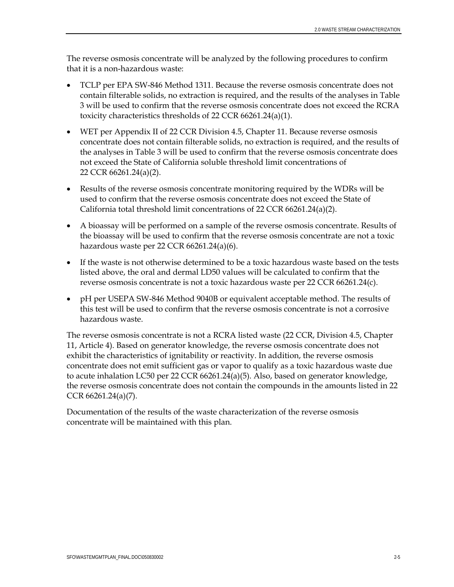The reverse osmosis concentrate will be analyzed by the following procedures to confirm that it is a non-hazardous waste:

- TCLP per EPA SW-846 Method 1311. Because the reverse osmosis concentrate does not contain filterable solids, no extraction is required, and the results of the analyses in Table 3 will be used to confirm that the reverse osmosis concentrate does not exceed the RCRA toxicity characteristics thresholds of 22 CCR 66261.24(a)(1).
- WET per Appendix II of 22 CCR Division 4.5, Chapter 11. Because reverse osmosis concentrate does not contain filterable solids, no extraction is required, and the results of the analyses in Table 3 will be used to confirm that the reverse osmosis concentrate does not exceed the State of California soluble threshold limit concentrations of 22 CCR 66261.24(a)(2).
- Results of the reverse osmosis concentrate monitoring required by the WDRs will be used to confirm that the reverse osmosis concentrate does not exceed the State of California total threshold limit concentrations of 22 CCR 66261.24(a)(2).
- A bioassay will be performed on a sample of the reverse osmosis concentrate. Results of the bioassay will be used to confirm that the reverse osmosis concentrate are not a toxic hazardous waste per 22 CCR 66261.24(a)(6).
- If the waste is not otherwise determined to be a toxic hazardous waste based on the tests listed above, the oral and dermal LD50 values will be calculated to confirm that the reverse osmosis concentrate is not a toxic hazardous waste per 22 CCR 66261.24(c).
- pH per USEPA SW-846 Method 9040B or equivalent acceptable method. The results of this test will be used to confirm that the reverse osmosis concentrate is not a corrosive hazardous waste.

The reverse osmosis concentrate is not a RCRA listed waste (22 CCR, Division 4.5, Chapter 11, Article 4). Based on generator knowledge, the reverse osmosis concentrate does not exhibit the characteristics of ignitability or reactivity. In addition, the reverse osmosis concentrate does not emit sufficient gas or vapor to qualify as a toxic hazardous waste due to acute inhalation LC50 per 22 CCR 66261.24(a)(5). Also, based on generator knowledge, the reverse osmosis concentrate does not contain the compounds in the amounts listed in 22 CCR 66261.24(a)(7).

Documentation of the results of the waste characterization of the reverse osmosis concentrate will be maintained with this plan.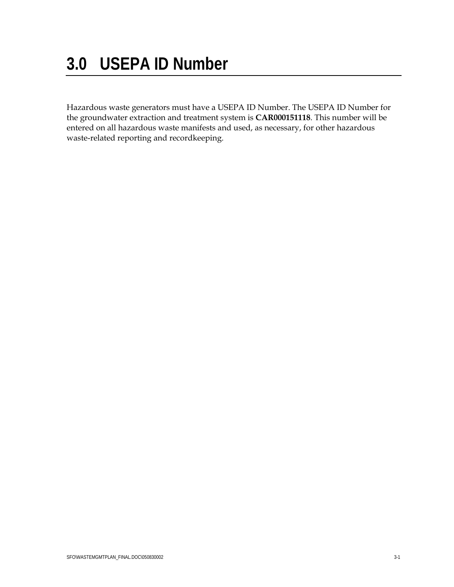# **3.0 USEPA ID Number**

Hazardous waste generators must have a USEPA ID Number. The USEPA ID Number for the groundwater extraction and treatment system is **CAR000151118**. This number will be entered on all hazardous waste manifests and used, as necessary, for other hazardous waste-related reporting and recordkeeping.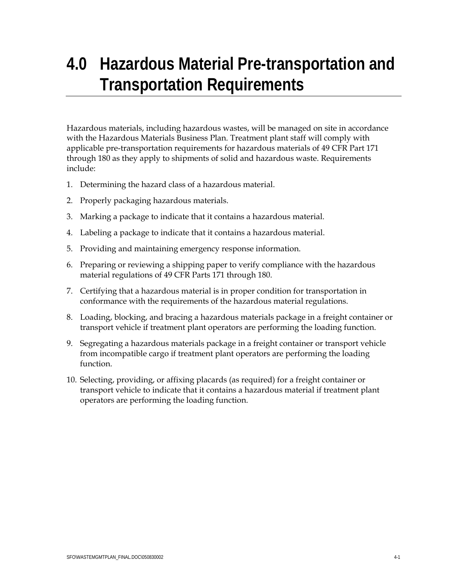## **4.0 Hazardous Material Pre-transportation and Transportation Requirements**

Hazardous materials, including hazardous wastes, will be managed on site in accordance with the Hazardous Materials Business Plan. Treatment plant staff will comply with applicable pre-transportation requirements for hazardous materials of 49 CFR Part 171 through 180 as they apply to shipments of solid and hazardous waste. Requirements include:

- 1. Determining the hazard class of a hazardous material.
- 2. Properly packaging hazardous materials.
- 3. Marking a package to indicate that it contains a hazardous material.
- 4. Labeling a package to indicate that it contains a hazardous material.
- 5. Providing and maintaining emergency response information.
- 6. Preparing or reviewing a shipping paper to verify compliance with the hazardous material regulations of 49 CFR Parts 171 through 180.
- 7. Certifying that a hazardous material is in proper condition for transportation in conformance with the requirements of the hazardous material regulations.
- 8. Loading, blocking, and bracing a hazardous materials package in a freight container or transport vehicle if treatment plant operators are performing the loading function.
- 9. Segregating a hazardous materials package in a freight container or transport vehicle from incompatible cargo if treatment plant operators are performing the loading function.
- 10. Selecting, providing, or affixing placards (as required) for a freight container or transport vehicle to indicate that it contains a hazardous material if treatment plant operators are performing the loading function.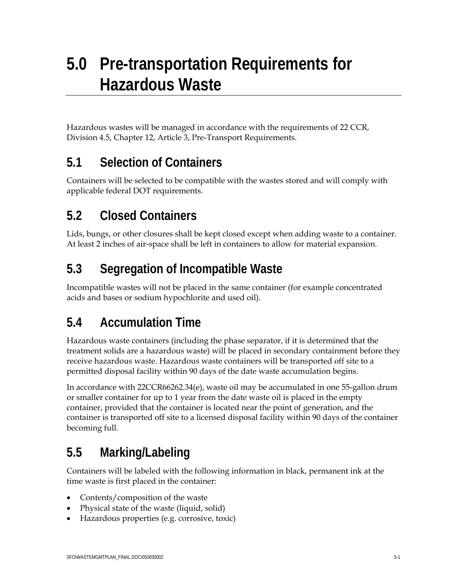Hazardous wastes will be managed in accordance with the requirements of 22 CCR, Division 4.5, Chapter 12, Article 3, Pre-Transport Requirements.

### **5.1 Selection of Containers**

Containers will be selected to be compatible with the wastes stored and will comply with applicable federal DOT requirements.

### **5.2 Closed Containers**

Lids, bungs, or other closures shall be kept closed except when adding waste to a container. At least 2 inches of air-space shall be left in containers to allow for material expansion.

## **5.3 Segregation of Incompatible Waste**

Incompatible wastes will not be placed in the same container (for example concentrated acids and bases or sodium hypochlorite and used oil).

## **5.4 Accumulation Time**

Hazardous waste containers (including the phase separator, if it is determined that the treatment solids are a hazardous waste) will be placed in secondary containment before they receive hazardous waste. Hazardous waste containers will be transported off site to a permitted disposal facility within 90 days of the date waste accumulation begins.

In accordance with 22CCR66262.34(e), waste oil may be accumulated in one 55-gallon drum or smaller container for up to 1 year from the date waste oil is placed in the empty container, provided that the container is located near the point of generation, and the container is transported off site to a licensed disposal facility within 90 days of the container becoming full.

### **5.5 Marking/Labeling**

Containers will be labeled with the following information in black, permanent ink at the time waste is first placed in the container:

- Contents/composition of the waste
- Physical state of the waste (liquid, solid)
- Hazardous properties (e.g. corrosive, toxic)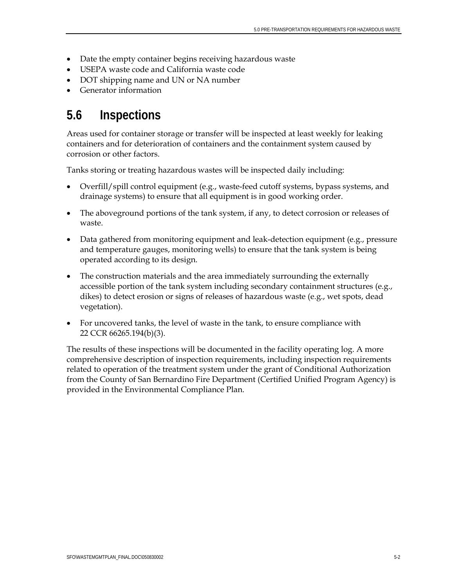- Date the empty container begins receiving hazardous waste
- USEPA waste code and California waste code
- DOT shipping name and UN or NA number
- Generator information

#### **5.6 Inspections**

Areas used for container storage or transfer will be inspected at least weekly for leaking containers and for deterioration of containers and the containment system caused by corrosion or other factors.

Tanks storing or treating hazardous wastes will be inspected daily including:

- Overfill/spill control equipment (e.g., waste-feed cutoff systems, bypass systems, and drainage systems) to ensure that all equipment is in good working order.
- The aboveground portions of the tank system, if any, to detect corrosion or releases of waste.
- Data gathered from monitoring equipment and leak-detection equipment (e.g., pressure and temperature gauges, monitoring wells) to ensure that the tank system is being operated according to its design.
- The construction materials and the area immediately surrounding the externally accessible portion of the tank system including secondary containment structures (e.g., dikes) to detect erosion or signs of releases of hazardous waste (e.g., wet spots, dead vegetation).
- For uncovered tanks, the level of waste in the tank, to ensure compliance with 22 CCR 66265.194(b)(3).

The results of these inspections will be documented in the facility operating log. A more comprehensive description of inspection requirements, including inspection requirements related to operation of the treatment system under the grant of Conditional Authorization from the County of San Bernardino Fire Department (Certified Unified Program Agency) is provided in the Environmental Compliance Plan.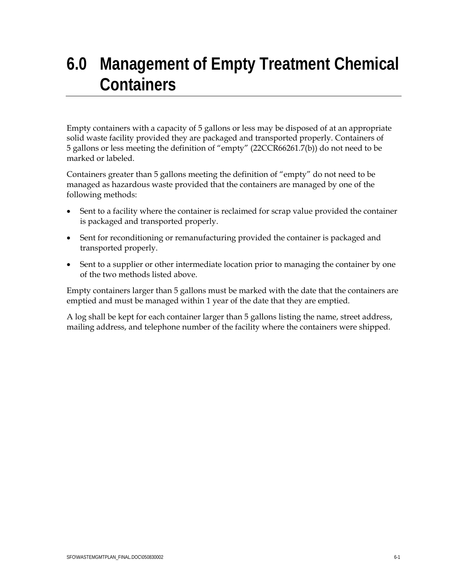## **6.0 Management of Empty Treatment Chemical Containers**

Empty containers with a capacity of 5 gallons or less may be disposed of at an appropriate solid waste facility provided they are packaged and transported properly. Containers of 5 gallons or less meeting the definition of "empty" (22CCR66261.7(b)) do not need to be marked or labeled.

Containers greater than 5 gallons meeting the definition of "empty" do not need to be managed as hazardous waste provided that the containers are managed by one of the following methods:

- Sent to a facility where the container is reclaimed for scrap value provided the container is packaged and transported properly.
- Sent for reconditioning or remanufacturing provided the container is packaged and transported properly.
- Sent to a supplier or other intermediate location prior to managing the container by one of the two methods listed above.

Empty containers larger than 5 gallons must be marked with the date that the containers are emptied and must be managed within 1 year of the date that they are emptied.

A log shall be kept for each container larger than 5 gallons listing the name, street address, mailing address, and telephone number of the facility where the containers were shipped.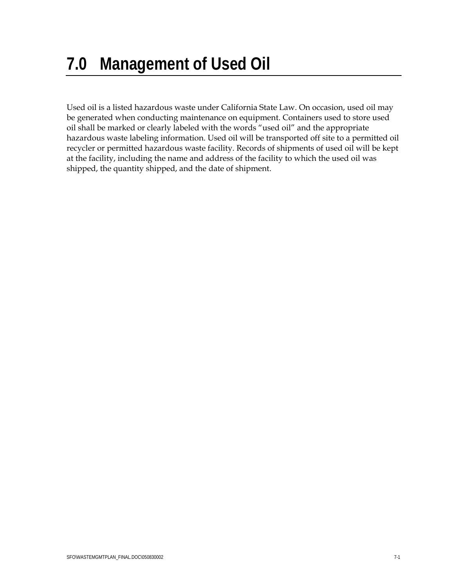Used oil is a listed hazardous waste under California State Law. On occasion, used oil may be generated when conducting maintenance on equipment. Containers used to store used oil shall be marked or clearly labeled with the words "used oil" and the appropriate hazardous waste labeling information. Used oil will be transported off site to a permitted oil recycler or permitted hazardous waste facility. Records of shipments of used oil will be kept at the facility, including the name and address of the facility to which the used oil was shipped, the quantity shipped, and the date of shipment.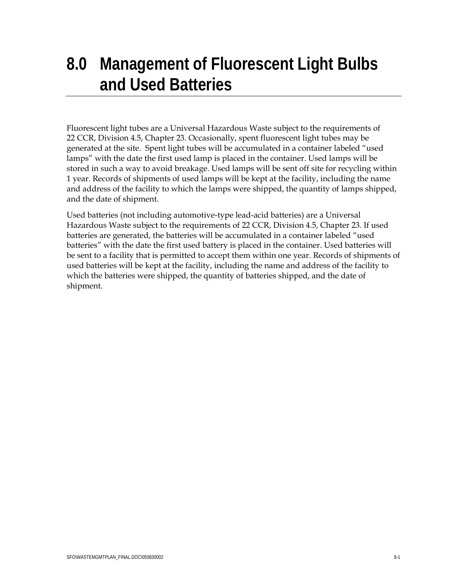## **8.0 Management of Fluorescent Light Bulbs and Used Batteries**

Fluorescent light tubes are a Universal Hazardous Waste subject to the requirements of 22 CCR, Division 4.5, Chapter 23. Occasionally, spent fluorescent light tubes may be generated at the site. Spent light tubes will be accumulated in a container labeled "used lamps" with the date the first used lamp is placed in the container. Used lamps will be stored in such a way to avoid breakage. Used lamps will be sent off site for recycling within 1 year. Records of shipments of used lamps will be kept at the facility, including the name and address of the facility to which the lamps were shipped, the quantity of lamps shipped, and the date of shipment.

Used batteries (not including automotive-type lead-acid batteries) are a Universal Hazardous Waste subject to the requirements of 22 CCR, Division 4.5, Chapter 23. If used batteries are generated, the batteries will be accumulated in a container labeled "used batteries" with the date the first used battery is placed in the container. Used batteries will be sent to a facility that is permitted to accept them within one year. Records of shipments of used batteries will be kept at the facility, including the name and address of the facility to which the batteries were shipped, the quantity of batteries shipped, and the date of shipment.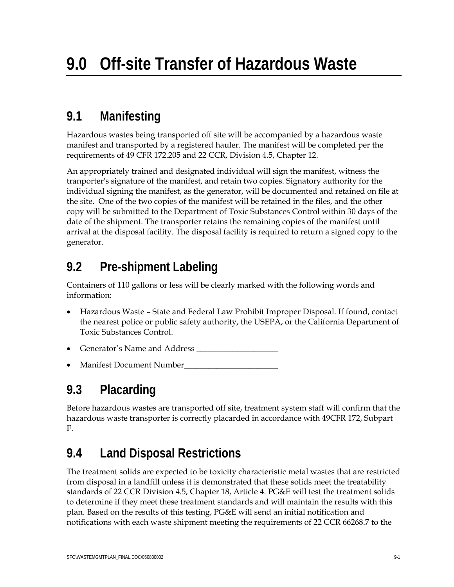### **9.1 Manifesting**

Hazardous wastes being transported off site will be accompanied by a hazardous waste manifest and transported by a registered hauler. The manifest will be completed per the requirements of 49 CFR 172.205 and 22 CCR, Division 4.5, Chapter 12.

An appropriately trained and designated individual will sign the manifest, witness the tranporter's signature of the manifest, and retain two copies. Signatory authority for the individual signing the manifest, as the generator, will be documented and retained on file at the site. One of the two copies of the manifest will be retained in the files, and the other copy will be submitted to the Department of Toxic Substances Control within 30 days of the date of the shipment. The transporter retains the remaining copies of the manifest until arrival at the disposal facility. The disposal facility is required to return a signed copy to the generator.

### **9.2 Pre-shipment Labeling**

Containers of 110 gallons or less will be clearly marked with the following words and information:

- Hazardous Waste State and Federal Law Prohibit Improper Disposal. If found, contact the nearest police or public safety authority, the USEPA, or the California Department of Toxic Substances Control.
- Generator's Name and Address \_\_\_\_\_\_\_\_\_\_\_\_\_\_\_\_\_\_\_\_
- Manifest Document Number\_\_\_\_\_\_\_\_\_\_\_\_\_\_\_\_\_\_\_\_\_\_\_

### **9.3 Placarding**

Before hazardous wastes are transported off site, treatment system staff will confirm that the hazardous waste transporter is correctly placarded in accordance with 49CFR 172, Subpart F.

### **9.4 Land Disposal Restrictions**

The treatment solids are expected to be toxicity characteristic metal wastes that are restricted from disposal in a landfill unless it is demonstrated that these solids meet the treatability standards of 22 CCR Division 4.5, Chapter 18, Article 4. PG&E will test the treatment solids to determine if they meet these treatment standards and will maintain the results with this plan. Based on the results of this testing, PG&E will send an initial notification and notifications with each waste shipment meeting the requirements of 22 CCR 66268.7 to the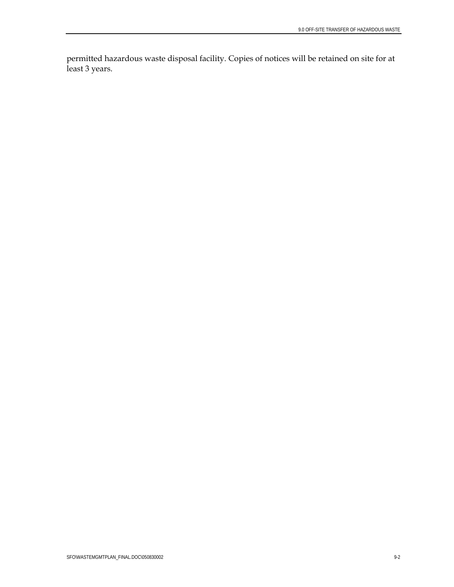permitted hazardous waste disposal facility. Copies of notices will be retained on site for at least 3 years.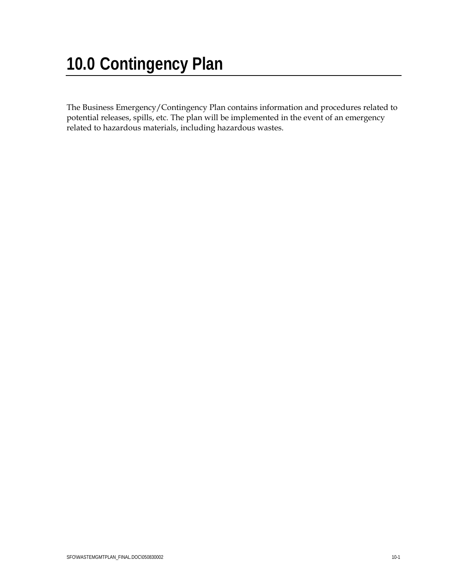# **10.0 Contingency Plan**

The Business Emergency/Contingency Plan contains information and procedures related to potential releases, spills, etc. The plan will be implemented in the event of an emergency related to hazardous materials, including hazardous wastes.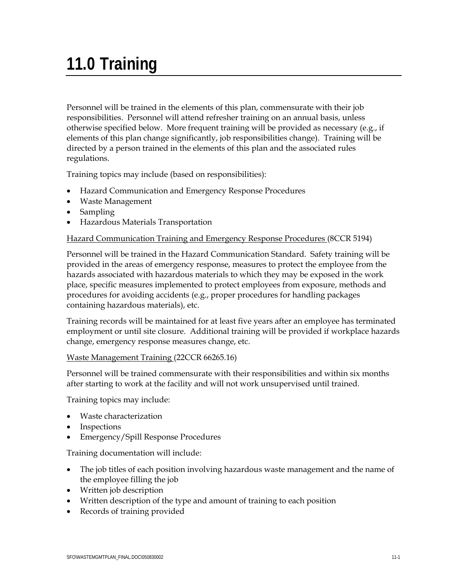# **11.0 Training**

Personnel will be trained in the elements of this plan, commensurate with their job responsibilities. Personnel will attend refresher training on an annual basis, unless otherwise specified below. More frequent training will be provided as necessary (e.g., if elements of this plan change significantly, job responsibilities change). Training will be directed by a person trained in the elements of this plan and the associated rules regulations.

Training topics may include (based on responsibilities):

- Hazard Communication and Emergency Response Procedures
- Waste Management
- Sampling
- Hazardous Materials Transportation

#### Hazard Communication Training and Emergency Response Procedures (8CCR 5194)

Personnel will be trained in the Hazard Communication Standard. Safety training will be provided in the areas of emergency response, measures to protect the employee from the hazards associated with hazardous materials to which they may be exposed in the work place, specific measures implemented to protect employees from exposure, methods and procedures for avoiding accidents (e.g., proper procedures for handling packages containing hazardous materials), etc.

Training records will be maintained for at least five years after an employee has terminated employment or until site closure. Additional training will be provided if workplace hazards change, emergency response measures change, etc.

Waste Management Training (22CCR 66265.16)

Personnel will be trained commensurate with their responsibilities and within six months after starting to work at the facility and will not work unsupervised until trained.

Training topics may include:

- Waste characterization
- Inspections
- Emergency/Spill Response Procedures

Training documentation will include:

- The job titles of each position involving hazardous waste management and the name of the employee filling the job
- Written job description
- Written description of the type and amount of training to each position
- Records of training provided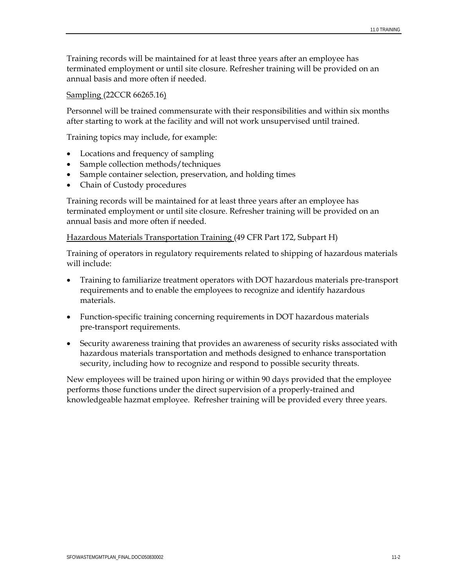Training records will be maintained for at least three years after an employee has terminated employment or until site closure. Refresher training will be provided on an annual basis and more often if needed.

#### Sampling (22CCR 66265.16)

Personnel will be trained commensurate with their responsibilities and within six months after starting to work at the facility and will not work unsupervised until trained.

Training topics may include, for example:

- Locations and frequency of sampling
- Sample collection methods/techniques
- Sample container selection, preservation, and holding times
- Chain of Custody procedures

Training records will be maintained for at least three years after an employee has terminated employment or until site closure. Refresher training will be provided on an annual basis and more often if needed.

#### Hazardous Materials Transportation Training (49 CFR Part 172, Subpart H)

Training of operators in regulatory requirements related to shipping of hazardous materials will include:

- Training to familiarize treatment operators with DOT hazardous materials pre-transport requirements and to enable the employees to recognize and identify hazardous materials.
- Function-specific training concerning requirements in DOT hazardous materials pre-transport requirements.
- Security awareness training that provides an awareness of security risks associated with hazardous materials transportation and methods designed to enhance transportation security, including how to recognize and respond to possible security threats.

New employees will be trained upon hiring or within 90 days provided that the employee performs those functions under the direct supervision of a properly-trained and knowledgeable hazmat employee. Refresher training will be provided every three years.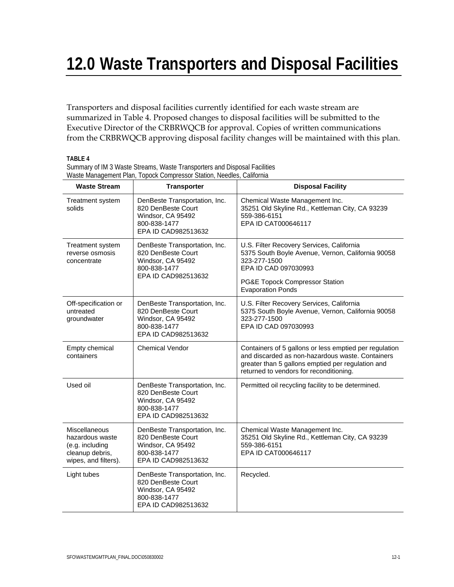## **12.0 Waste Transporters and Disposal Facilities**

Transporters and disposal facilities currently identified for each waste stream are summarized in Table 4. Proposed changes to disposal facilities will be submitted to the Executive Director of the CRBRWQCB for approval. Copies of written communications from the CRBRWQCB approving disposal facility changes will be maintained with this plan.

**TABLE 4** 

| Summary of IM 3 Waste Streams, Waste Transporters and Disposal Facilities |
|---------------------------------------------------------------------------|
| Waste Management Plan, Topock Compressor Station, Needles, California     |
|                                                                           |

| <b>Waste Stream</b>                                                                            | <b>Transporter</b>                                                                                              | <b>Disposal Facility</b>                                                                                                                                                                                   |  |
|------------------------------------------------------------------------------------------------|-----------------------------------------------------------------------------------------------------------------|------------------------------------------------------------------------------------------------------------------------------------------------------------------------------------------------------------|--|
| Treatment system<br>solids                                                                     | DenBeste Transportation, Inc.<br>820 DenBeste Court<br>Windsor, CA 95492<br>800-838-1477<br>EPA ID CAD982513632 | Chemical Waste Management Inc.<br>35251 Old Skyline Rd., Kettleman City, CA 93239<br>559-386-6151<br>EPA ID CAT000646117                                                                                   |  |
| Treatment system<br>reverse osmosis<br>concentrate                                             | DenBeste Transportation, Inc.<br>820 DenBeste Court<br>Windsor, CA 95492<br>800-838-1477<br>EPA ID CAD982513632 | U.S. Filter Recovery Services, California<br>5375 South Boyle Avenue, Vernon, California 90058<br>323-277-1500<br>EPA ID CAD 097030993<br>PG&E Topock Compressor Station<br><b>Evaporation Ponds</b>       |  |
| Off-specification or<br>untreated<br>groundwater                                               | DenBeste Transportation, Inc.<br>820 DenBeste Court<br>Windsor, CA 95492<br>800-838-1477<br>EPA ID CAD982513632 | U.S. Filter Recovery Services, California<br>5375 South Boyle Avenue, Vernon, California 90058<br>323-277-1500<br>EPA ID CAD 097030993                                                                     |  |
| Empty chemical<br>containers                                                                   | <b>Chemical Vendor</b>                                                                                          | Containers of 5 gallons or less emptied per regulation<br>and discarded as non-hazardous waste. Containers<br>greater than 5 gallons emptied per regulation and<br>returned to vendors for reconditioning. |  |
| Used oil                                                                                       | DenBeste Transportation, Inc.<br>820 DenBeste Court<br>Windsor, CA 95492<br>800-838-1477<br>EPA ID CAD982513632 | Permitted oil recycling facility to be determined.                                                                                                                                                         |  |
| Miscellaneous<br>hazardous waste<br>(e.g. including<br>cleanup debris,<br>wipes, and filters). | DenBeste Transportation, Inc.<br>820 DenBeste Court<br>Windsor, CA 95492<br>800-838-1477<br>EPA ID CAD982513632 | Chemical Waste Management Inc.<br>35251 Old Skyline Rd., Kettleman City, CA 93239<br>559-386-6151<br>EPA ID CAT000646117                                                                                   |  |
| Light tubes                                                                                    | DenBeste Transportation, Inc.<br>820 DenBeste Court<br>Windsor, CA 95492<br>800-838-1477<br>EPA ID CAD982513632 | Recycled.                                                                                                                                                                                                  |  |